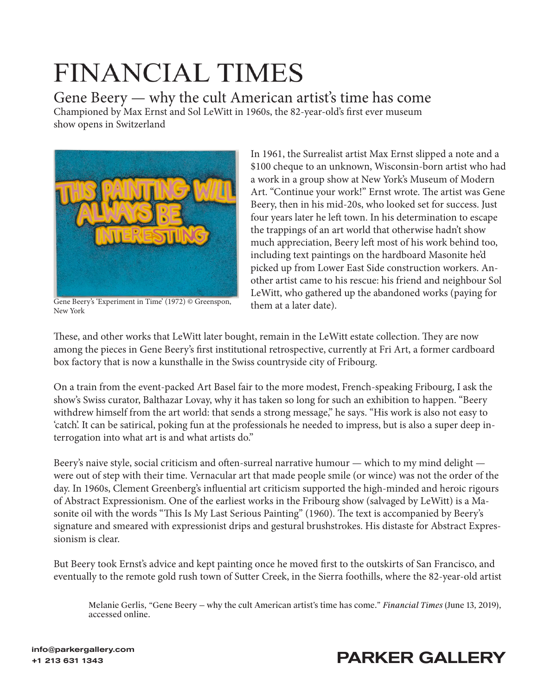## **FINANCIAL TIMES**

Gene Beery — why the cult American artist's time has come Championed by Max Ernst and Sol LeWitt in 1960s, the 82-year-old's first ever museum show opens in Switzerland



Gene Beery's 'Experiment in Time' (1972) © Greenspon, them at a later date). New York

In 1961, the Surrealist artist Max Ernst slipped a note and a \$100 cheque to an unknown, Wisconsin-born artist who had a work in a group show at New York's Museum of Modern Art. "Continue your work!" Ernst wrote. The artist was Gene Beery, then in his mid-20s, who looked set for success. Just four years later he left town. In his determination to escape the trappings of an art world that otherwise hadn't show much appreciation, Beery left most of his work behind too, including text paintings on the hardboard Masonite he'd picked up from Lower East Side construction workers. Another artist came to his rescue: his friend and neighbour Sol LeWitt, who gathered up the abandoned works (paying for

These, and other works that LeWitt later bought, remain in the LeWitt estate collection. They are now among the pieces in Gene Beery's first institutional retrospective, currently at Fri Art, a former cardboard box factory that is now a kunsthalle in the Swiss countryside city of Fribourg.

On a train from the event-packed Art Basel fair to the more modest, French-speaking Fribourg, I ask the show's Swiss curator, Balthazar Lovay, why it has taken so long for such an exhibition to happen. "Beery withdrew himself from the art world: that sends a strong message," he says. "His work is also not easy to 'catch'. It can be satirical, poking fun at the professionals he needed to impress, but is also a super deep interrogation into what art is and what artists do."

Beery's naive style, social criticism and often-surreal narrative humour — which to my mind delight were out of step with their time. Vernacular art that made people smile (or wince) was not the order of the day. In 1960s, Clement Greenberg's influential art criticism supported the high-minded and heroic rigours of Abstract Expressionism. One of the earliest works in the Fribourg show (salvaged by LeWitt) is a Masonite oil with the words "This Is My Last Serious Painting" (1960). The text is accompanied by Beery's signature and smeared with expressionist drips and gestural brushstrokes. His distaste for Abstract Expressionism is clear.

But Beery took Ernst's advice and kept painting once he moved first to the outskirts of San Francisco, and eventually to the remote gold rush town of Sutter Creek, in the Sierra foothills, where the 82-year-old artist

[Melanie Gerlis, "Gene Beery — why the cult American artist's time has come."](https://www.ft.com/content/3a675352-8dc2-11e9-b8cb-26a9caa9d67b) *Financial Times* (June 13, 2019), accessed online.



## +1 213 631 1343<br>+1 213 631 1343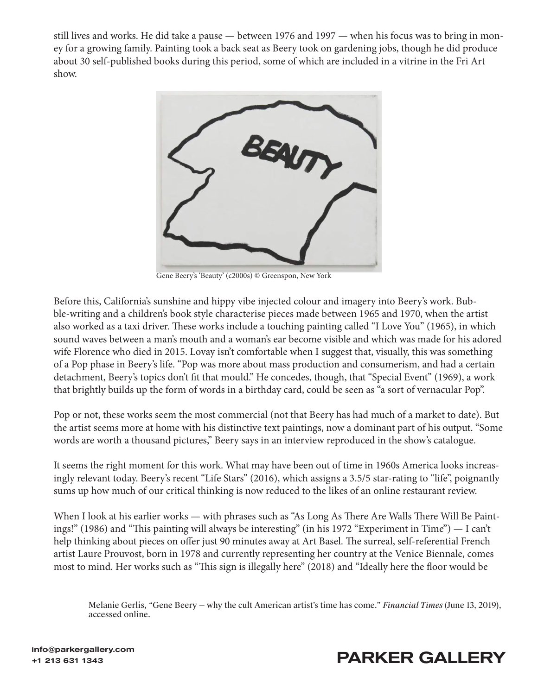still lives and works. He did take a pause — between 1976 and 1997 — when his focus was to bring in money for a growing family. Painting took a back seat as Beery took on gardening jobs, though he did produce about 30 self-published books during this period, some of which are included in a vitrine in the Fri Art show.



Gene Beery's 'Beauty' (c2000s) © Greenspon, New York

Before this, California's sunshine and hippy vibe injected colour and imagery into Beery's work. Bubble-writing and a children's book style characterise pieces made between 1965 and 1970, when the artist also worked as a taxi driver. These works include a touching painting called "I Love You" (1965), in which sound waves between a man's mouth and a woman's ear become visible and which was made for his adored wife Florence who died in 2015. Lovay isn't comfortable when I suggest that, visually, this was something of a Pop phase in Beery's life. "Pop was more about mass production and consumerism, and had a certain detachment, Beery's topics don't fit that mould." He concedes, though, that "Special Event" (1969), a work that brightly builds up the form of words in a birthday card, could be seen as "a sort of vernacular Pop".

Pop or not, these works seem the most commercial (not that Beery has had much of a market to date). But the artist seems more at home with his distinctive text paintings, now a dominant part of his output. "Some words are worth a thousand pictures," Beery says in an interview reproduced in the show's catalogue.

It seems the right moment for this work. What may have been out of time in 1960s America looks increasingly relevant today. Beery's recent "Life Stars" (2016), which assigns a 3.5/5 star-rating to "life", poignantly sums up how much of our critical thinking is now reduced to the likes of an online restaurant review.

When I look at his earlier works — with phrases such as "As Long As There Are Walls There Will Be Paintings!" (1986) and "This painting will always be interesting" (in his 1972 "Experiment in Time") — I can't help thinking about pieces on offer just 90 minutes away at Art Basel. The surreal, self-referential French artist Laure Prouvost, born in 1978 and currently representing her country at the Venice Biennale, comes most to mind. Her works such as "This sign is illegally here" (2018) and "Ideally here the floor would be

[Melanie Gerlis, "Gene Beery — why the cult American artist's time has come."](https://www.ft.com/content/3a675352-8dc2-11e9-b8cb-26a9caa9d67b) *Financial Times* (June 13, 2019), accessed online.

## +1 213 631 1343<br>+1 213 631 1343